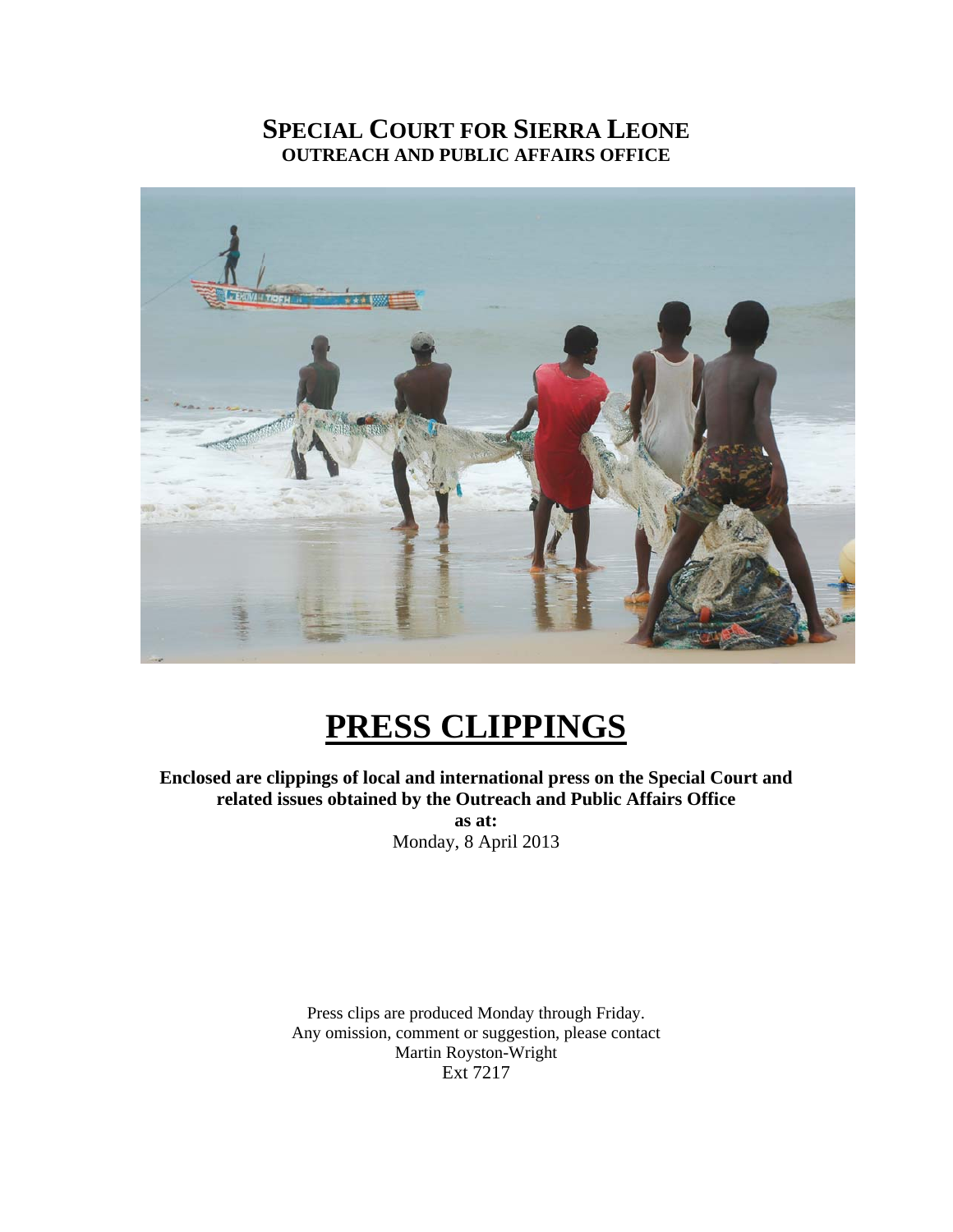# **SPECIAL COURT FOR SIERRA LEONE OUTREACH AND PUBLIC AFFAIRS OFFICE**



# **PRESS CLIPPINGS**

**Enclosed are clippings of local and international press on the Special Court and related issues obtained by the Outreach and Public Affairs Office** 

Monday, 8 April 2013 **as at:** 

Press clips are produced Monday through Friday. Any omission, comment or suggestion, please contact Martin Royston-Wright Ext 7217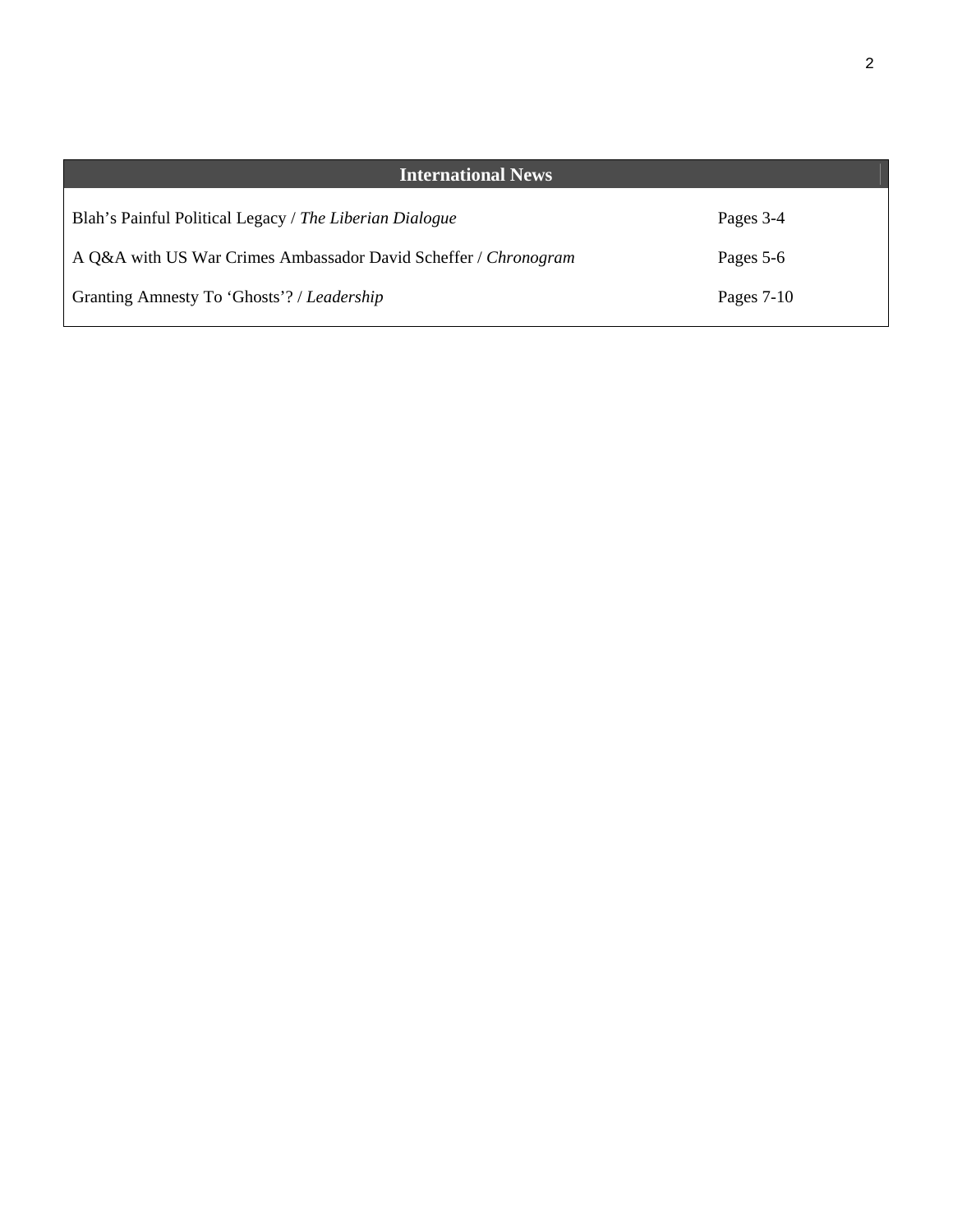| <b>International News</b>                                       |              |
|-----------------------------------------------------------------|--------------|
| Blah's Painful Political Legacy / The Liberian Dialogue         | Pages 3-4    |
| A Q&A with US War Crimes Ambassador David Scheffer / Chronogram | Pages 5-6    |
| Granting Amnesty To 'Ghosts'? / Leadership                      | Pages $7-10$ |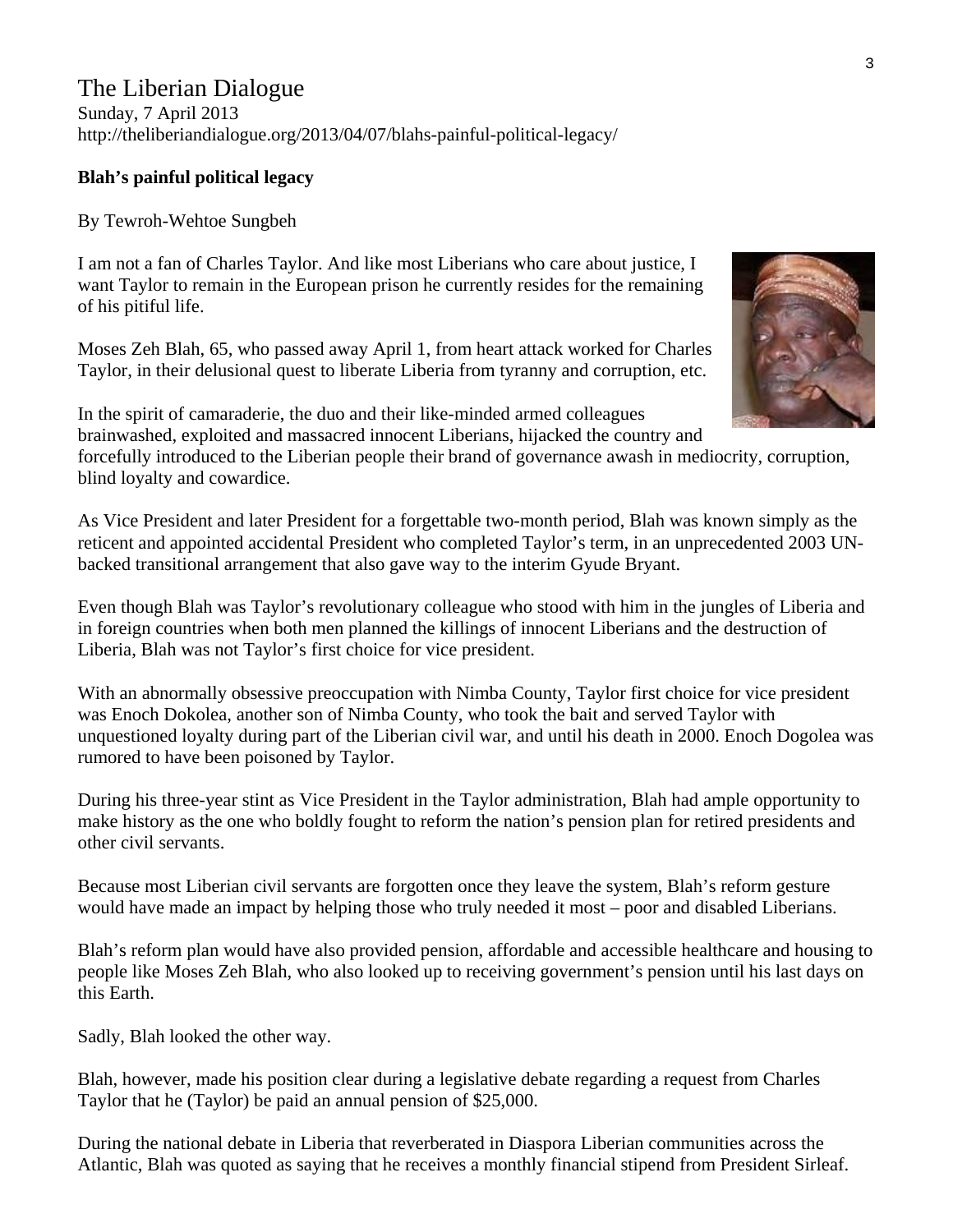## **Blah's painful political legacy**

By Tewroh-Wehtoe Sungbeh

I am not a fan of Charles Taylor. And like most Liberians who care about justice, I want Taylor to remain in the European prison he currently resides for the remaining of his pitiful life.

Moses Zeh Blah, 65, who passed away April 1, from heart attack worked for Charles Taylor, in their delusional quest to liberate Liberia from tyranny and corruption, etc.

In the spirit of camaraderie, the duo and their like-minded armed colleagues brainwashed, exploited and massacred innocent Liberians, hijacked the country and forcefully introduced to the Liberian people their brand of governance awash in mediocrity, corruption, blind loyalty and cowardice.

As Vice President and later President for a forgettable two-month period, Blah was known simply as the reticent and appointed accidental President who completed Taylor's term, in an unprecedented 2003 UNbacked transitional arrangement that also gave way to the interim Gyude Bryant.

Even though Blah was Taylor's revolutionary colleague who stood with him in the jungles of Liberia and in foreign countries when both men planned the killings of innocent Liberians and the destruction of Liberia, Blah was not Taylor's first choice for vice president.

With an abnormally obsessive preoccupation with Nimba County, Taylor first choice for vice president was Enoch Dokolea, another son of Nimba County, who took the bait and served Taylor with unquestioned loyalty during part of the Liberian civil war, and until his death in 2000. Enoch Dogolea was rumored to have been poisoned by Taylor.

During his three-year stint as Vice President in the Taylor administration, Blah had ample opportunity to make history as the one who boldly fought to reform the nation's pension plan for retired presidents and other civil servants.

Because most Liberian civil servants are forgotten once they leave the system, Blah's reform gesture would have made an impact by helping those who truly needed it most – poor and disabled Liberians.

Blah's reform plan would have also provided pension, affordable and accessible healthcare and housing to people like Moses Zeh Blah, who also looked up to receiving government's pension until his last days on this Earth.

Sadly, Blah looked the other way.

Blah, however, made his position clear during a legislative debate regarding a request from Charles Taylor that he (Taylor) be paid an annual pension of \$25,000.

During the national debate in Liberia that reverberated in Diaspora Liberian communities across the Atlantic, Blah was quoted as saying that he receives a monthly financial stipend from President Sirleaf.

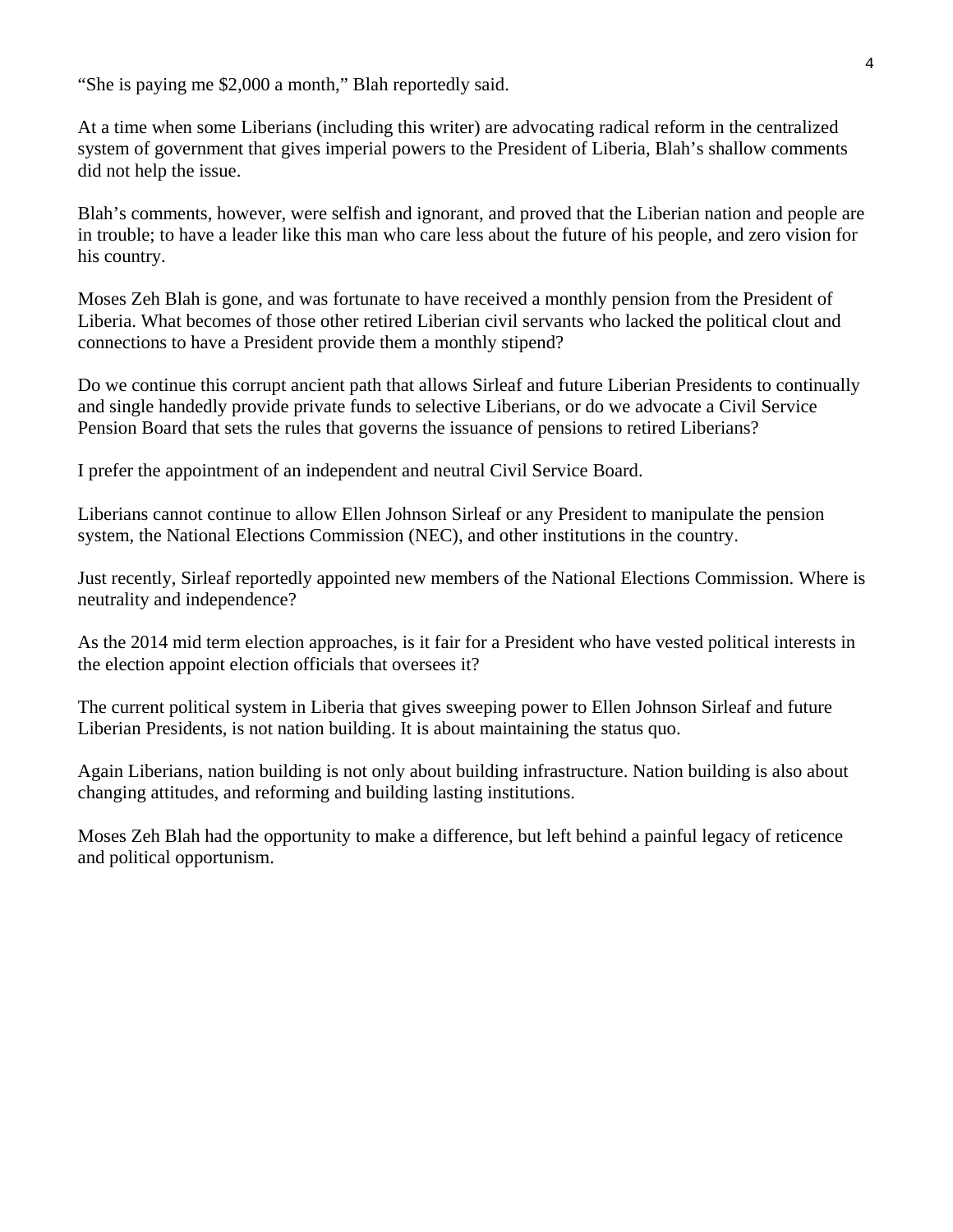"She is paying me \$2,000 a month," Blah reportedly said.

At a time when some Liberians (including this writer) are advocating radical reform in the centralized system of government that gives imperial powers to the President of Liberia, Blah's shallow comments did not help the issue.

Blah's comments, however, were selfish and ignorant, and proved that the Liberian nation and people are in trouble; to have a leader like this man who care less about the future of his people, and zero vision for his country.

Moses Zeh Blah is gone, and was fortunate to have received a monthly pension from the President of Liberia. What becomes of those other retired Liberian civil servants who lacked the political clout and connections to have a President provide them a monthly stipend?

Do we continue this corrupt ancient path that allows Sirleaf and future Liberian Presidents to continually and single handedly provide private funds to selective Liberians, or do we advocate a Civil Service Pension Board that sets the rules that governs the issuance of pensions to retired Liberians?

I prefer the appointment of an independent and neutral Civil Service Board.

Liberians cannot continue to allow Ellen Johnson Sirleaf or any President to manipulate the pension system, the National Elections Commission (NEC), and other institutions in the country.

Just recently, Sirleaf reportedly appointed new members of the National Elections Commission. Where is neutrality and independence?

As the 2014 mid term election approaches, is it fair for a President who have vested political interests in the election appoint election officials that oversees it?

The current political system in Liberia that gives sweeping power to Ellen Johnson Sirleaf and future Liberian Presidents, is not nation building. It is about maintaining the status quo.

Again Liberians, nation building is not only about building infrastructure. Nation building is also about changing attitudes, and reforming and building lasting institutions.

Moses Zeh Blah had the opportunity to make a difference, but left behind a painful legacy of reticence and political opportunism.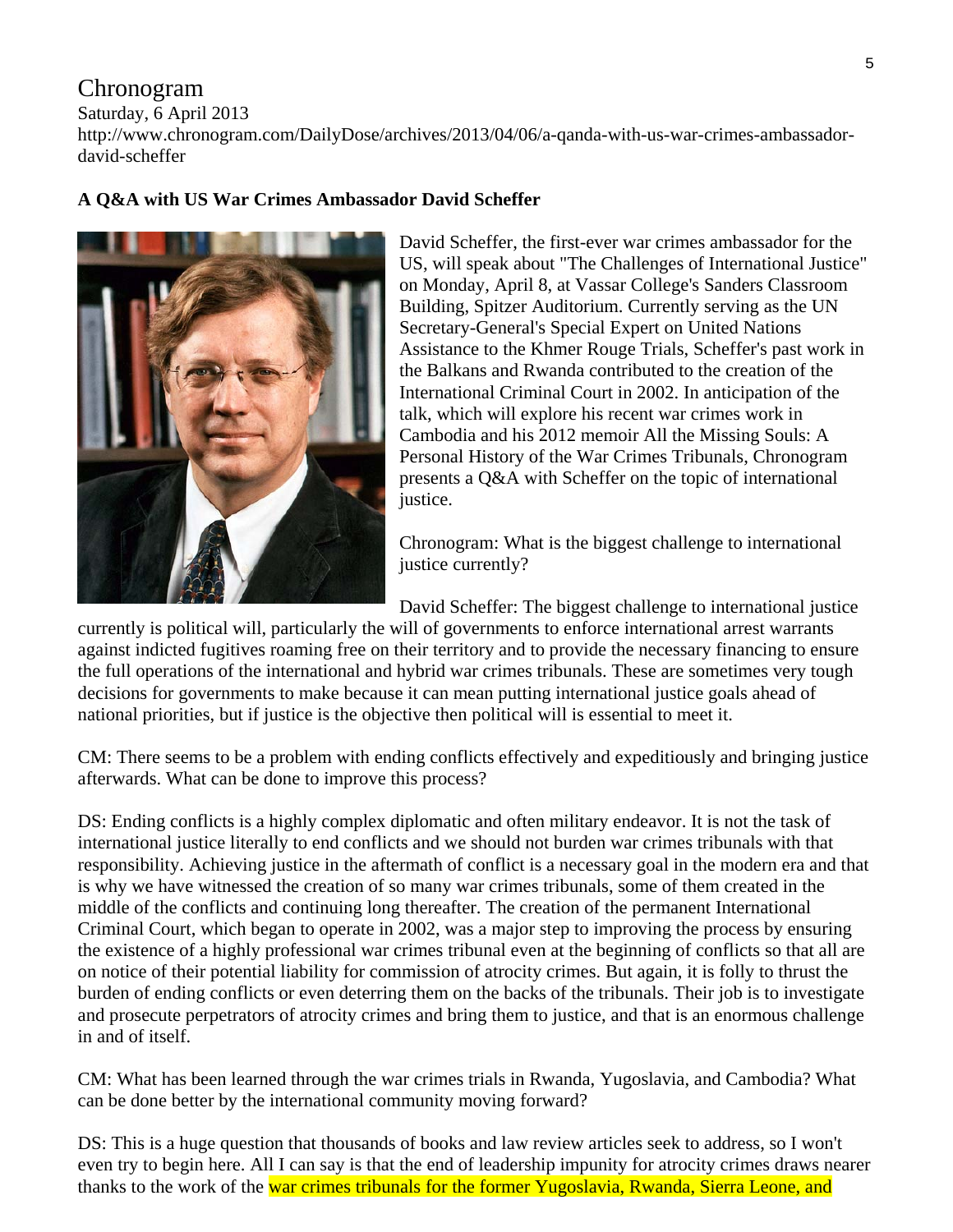# Chronogram

Saturday, 6 April 2013

http://www.chronogram.com/DailyDose/archives/2013/04/06/a-qanda-with-us-war-crimes-ambassadordavid-scheffer

# **A Q&A with US War Crimes Ambassador David Scheffer**



David Scheffer, the first-ever war crimes ambassador for the US, will speak about "The Challenges of International Justice" on Monday, April 8, at Vassar College's Sanders Classroom Building, Spitzer Auditorium. Currently serving as the UN Secretary-General's Special Expert on United Nations Assistance to the Khmer Rouge Trials, Scheffer's past work in the Balkans and Rwanda contributed to the creation of the International Criminal Court in 2002. In anticipation of the talk, which will explore his recent war crimes work in Cambodia and his 2012 memoir All the Missing Souls: A Personal History of the War Crimes Tribunals, Chronogram presents a Q&A with Scheffer on the topic of international justice.

Chronogram: What is the biggest challenge to international justice currently?

David Scheffer: The biggest challenge to international justice

currently is political will, particularly the will of governments to enforce international arrest warrants against indicted fugitives roaming free on their territory and to provide the necessary financing to ensure the full operations of the international and hybrid war crimes tribunals. These are sometimes very tough decisions for governments to make because it can mean putting international justice goals ahead of national priorities, but if justice is the objective then political will is essential to meet it.

CM: There seems to be a problem with ending conflicts effectively and expeditiously and bringing justice afterwards. What can be done to improve this process?

DS: Ending conflicts is a highly complex diplomatic and often military endeavor. It is not the task of international justice literally to end conflicts and we should not burden war crimes tribunals with that responsibility. Achieving justice in the aftermath of conflict is a necessary goal in the modern era and that is why we have witnessed the creation of so many war crimes tribunals, some of them created in the middle of the conflicts and continuing long thereafter. The creation of the permanent International Criminal Court, which began to operate in 2002, was a major step to improving the process by ensuring the existence of a highly professional war crimes tribunal even at the beginning of conflicts so that all are on notice of their potential liability for commission of atrocity crimes. But again, it is folly to thrust the burden of ending conflicts or even deterring them on the backs of the tribunals. Their job is to investigate and prosecute perpetrators of atrocity crimes and bring them to justice, and that is an enormous challenge in and of itself.

CM: What has been learned through the war crimes trials in Rwanda, Yugoslavia, and Cambodia? What can be done better by the international community moving forward?

DS: This is a huge question that thousands of books and law review articles seek to address, so I won't even try to begin here. All I can say is that the end of leadership impunity for atrocity crimes draws nearer thanks to the work of the war crimes tribunals for the former Yugoslavia, Rwanda, Sierra Leone, and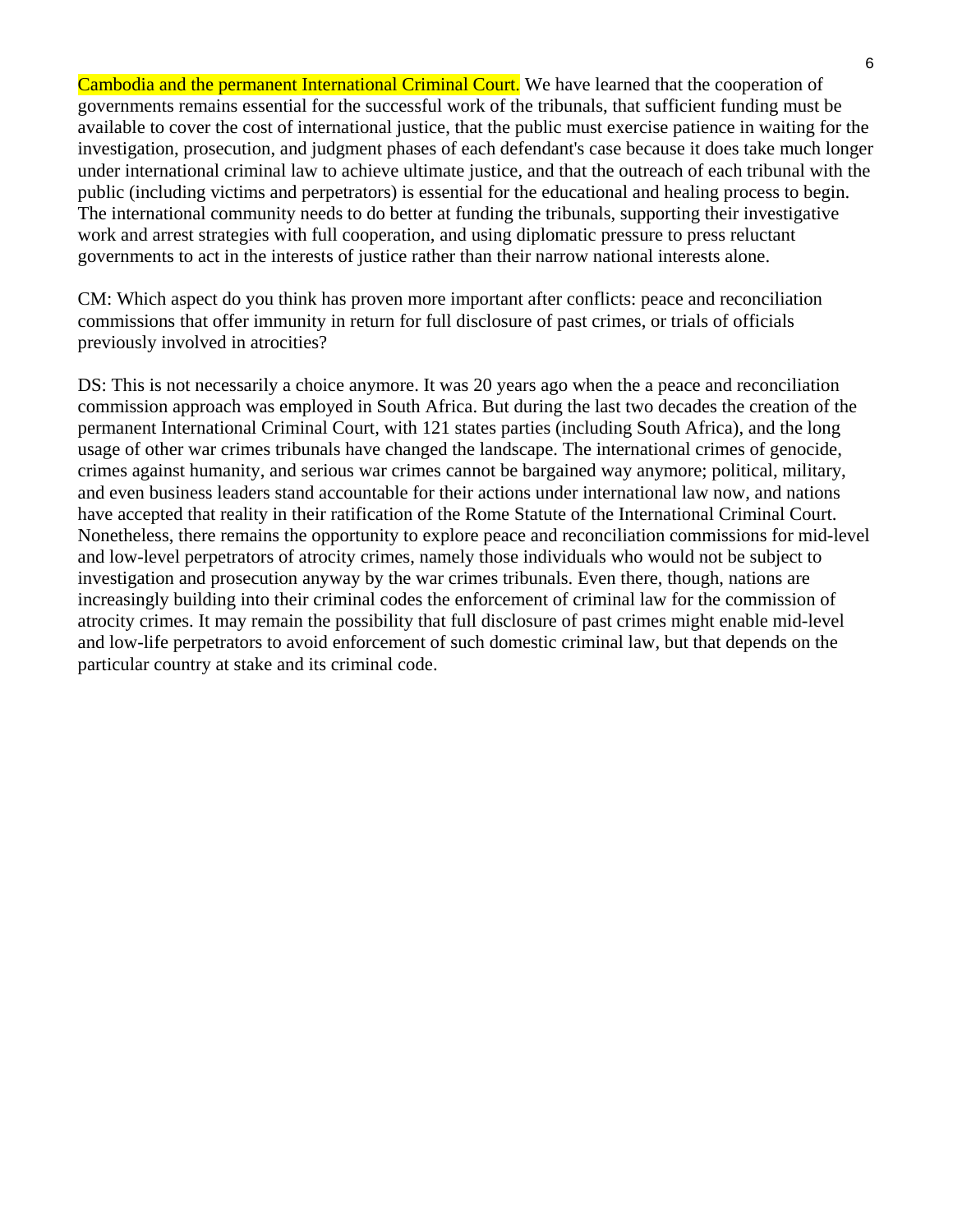Cambodia and the permanent International Criminal Court. We have learned that the cooperation of governments remains essential for the successful work of the tribunals, that sufficient funding must be available to cover the cost of international justice, that the public must exercise patience in waiting for the investigation, prosecution, and judgment phases of each defendant's case because it does take much longer under international criminal law to achieve ultimate justice, and that the outreach of each tribunal with the public (including victims and perpetrators) is essential for the educational and healing process to begin. The international community needs to do better at funding the tribunals, supporting their investigative work and arrest strategies with full cooperation, and using diplomatic pressure to press reluctant governments to act in the interests of justice rather than their narrow national interests alone.

CM: Which aspect do you think has proven more important after conflicts: peace and reconciliation commissions that offer immunity in return for full disclosure of past crimes, or trials of officials previously involved in atrocities?

DS: This is not necessarily a choice anymore. It was 20 years ago when the a peace and reconciliation commission approach was employed in South Africa. But during the last two decades the creation of the permanent International Criminal Court, with 121 states parties (including South Africa), and the long usage of other war crimes tribunals have changed the landscape. The international crimes of genocide, crimes against humanity, and serious war crimes cannot be bargained way anymore; political, military, and even business leaders stand accountable for their actions under international law now, and nations have accepted that reality in their ratification of the Rome Statute of the International Criminal Court. Nonetheless, there remains the opportunity to explore peace and reconciliation commissions for mid-level and low-level perpetrators of atrocity crimes, namely those individuals who would not be subject to investigation and prosecution anyway by the war crimes tribunals. Even there, though, nations are increasingly building into their criminal codes the enforcement of criminal law for the commission of atrocity crimes. It may remain the possibility that full disclosure of past crimes might enable mid-level and low-life perpetrators to avoid enforcement of such domestic criminal law, but that depends on the particular country at stake and its criminal code.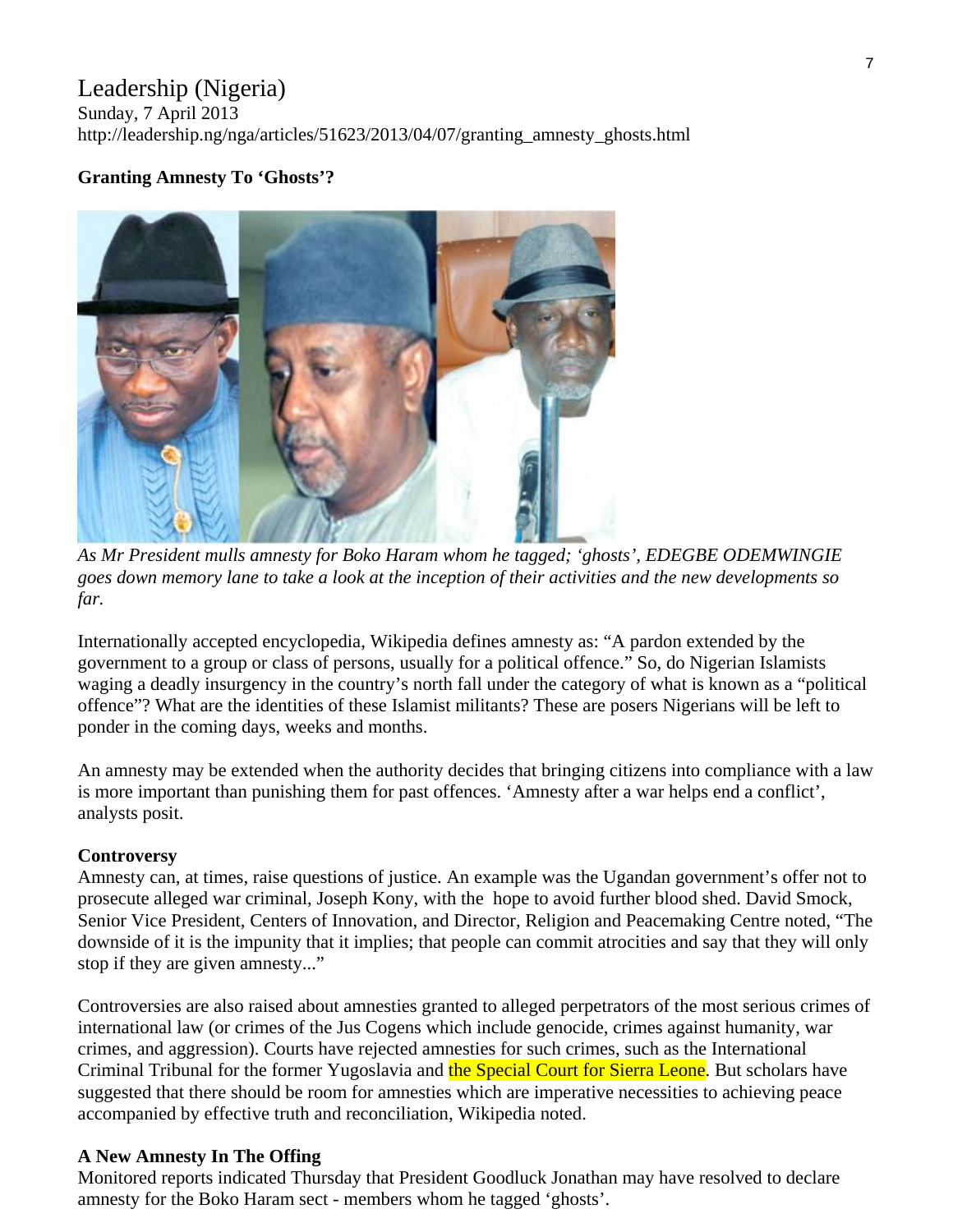# Leadership (Nigeria)

Sunday, 7 April 2013 http://leadership.ng/nga/articles/51623/2013/04/07/granting\_amnesty\_ghosts.html

## **Granting Amnesty To 'Ghosts'?**



*As Mr President mulls amnesty for Boko Haram whom he tagged; 'ghosts', EDEGBE ODEMWINGIE goes down memory lane to take a look at the inception of their activities and the new developments so far.* 

Internationally accepted encyclopedia, Wikipedia defines amnesty as: "A pardon extended by the government to a group or class of persons, usually for a political offence." So, do Nigerian Islamists waging a deadly insurgency in the country's north fall under the category of what is known as a "political offence"? What are the identities of these Islamist militants? These are posers Nigerians will be left to ponder in the coming days, weeks and months.

An amnesty may be extended when the authority decides that bringing citizens into compliance with a law is more important than punishing them for past offences. 'Amnesty after a war helps end a conflict', analysts posit.

#### **Controversy**

Amnesty can, at times, raise questions of justice. An example was the Ugandan government's offer not to prosecute alleged war criminal, Joseph Kony, with the hope to avoid further blood shed. David Smock, Senior Vice President, Centers of Innovation, and Director, Religion and Peacemaking Centre noted, "The downside of it is the impunity that it implies; that people can commit atrocities and say that they will only stop if they are given amnesty..."

Controversies are also raised about amnesties granted to alleged perpetrators of the most serious crimes of international law (or crimes of the Jus Cogens which include genocide, crimes against humanity, war crimes, and aggression). Courts have rejected amnesties for such crimes, such as the International Criminal Tribunal for the former Yugoslavia and the Special Court for Sierra Leone. But scholars have suggested that there should be room for amnesties which are imperative necessities to achieving peace accompanied by effective truth and reconciliation, Wikipedia noted.

#### **A New Amnesty In The Offing**

Monitored reports indicated Thursday that President Goodluck Jonathan may have resolved to declare amnesty for the Boko Haram sect - members whom he tagged 'ghosts'.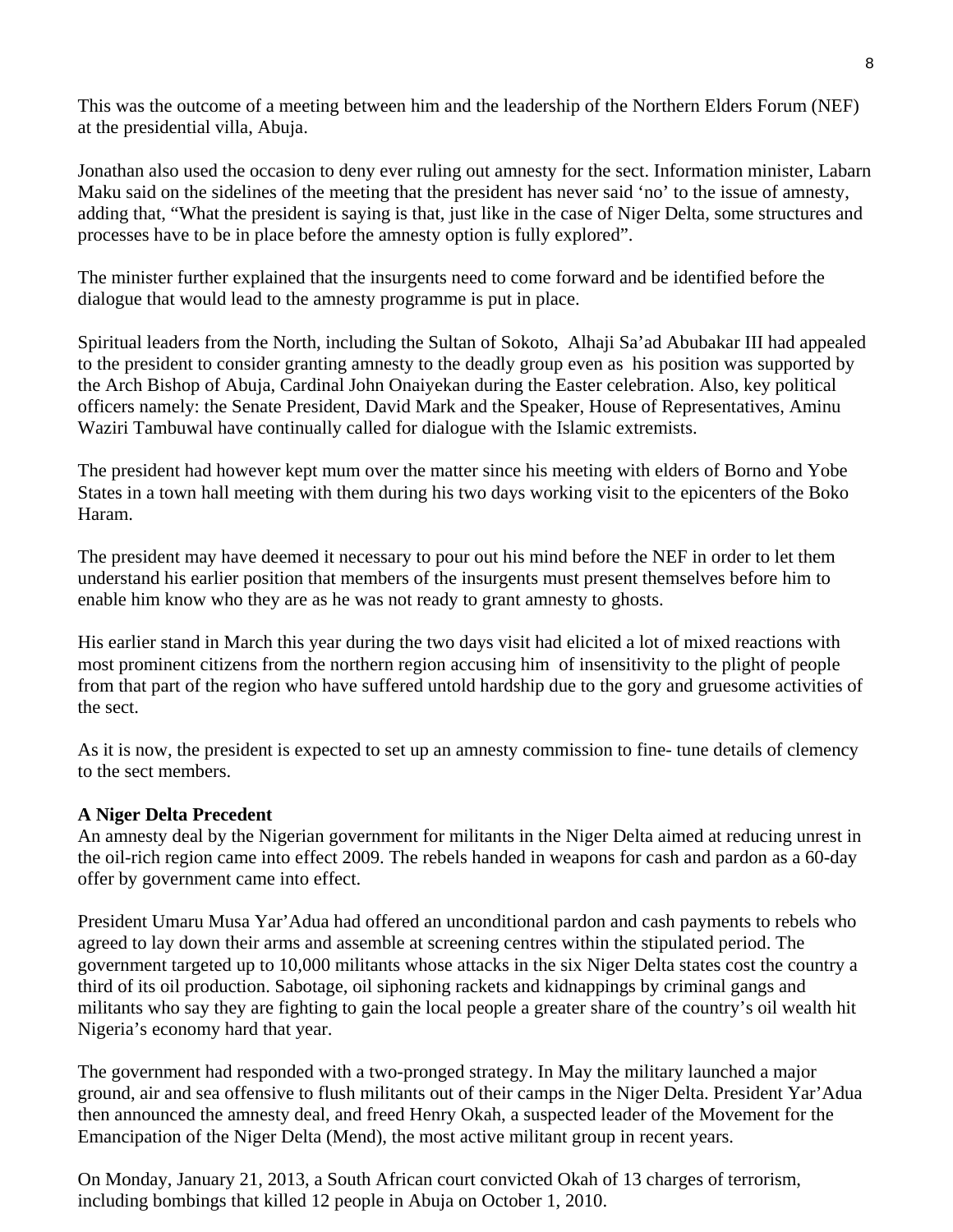This was the outcome of a meeting between him and the leadership of the Northern Elders Forum (NEF) at the presidential villa, Abuja.

Jonathan also used the occasion to deny ever ruling out amnesty for the sect. Information minister, Labarn Maku said on the sidelines of the meeting that the president has never said 'no' to the issue of amnesty, adding that, "What the president is saying is that, just like in the case of Niger Delta, some structures and processes have to be in place before the amnesty option is fully explored".

The minister further explained that the insurgents need to come forward and be identified before the dialogue that would lead to the amnesty programme is put in place.

Spiritual leaders from the North, including the Sultan of Sokoto, Alhaji Sa'ad Abubakar III had appealed to the president to consider granting amnesty to the deadly group even as his position was supported by the Arch Bishop of Abuja, Cardinal John Onaiyekan during the Easter celebration. Also, key political officers namely: the Senate President, David Mark and the Speaker, House of Representatives, Aminu Waziri Tambuwal have continually called for dialogue with the Islamic extremists.

The president had however kept mum over the matter since his meeting with elders of Borno and Yobe States in a town hall meeting with them during his two days working visit to the epicenters of the Boko Haram.

The president may have deemed it necessary to pour out his mind before the NEF in order to let them understand his earlier position that members of the insurgents must present themselves before him to enable him know who they are as he was not ready to grant amnesty to ghosts.

His earlier stand in March this year during the two days visit had elicited a lot of mixed reactions with most prominent citizens from the northern region accusing him of insensitivity to the plight of people from that part of the region who have suffered untold hardship due to the gory and gruesome activities of the sect.

As it is now, the president is expected to set up an amnesty commission to fine- tune details of clemency to the sect members.

#### **A Niger Delta Precedent**

An amnesty deal by the Nigerian government for militants in the Niger Delta aimed at reducing unrest in the oil-rich region came into effect 2009. The rebels handed in weapons for cash and pardon as a 60-day offer by government came into effect.

President Umaru Musa Yar'Adua had offered an unconditional pardon and cash payments to rebels who agreed to lay down their arms and assemble at screening centres within the stipulated period. The government targeted up to 10,000 militants whose attacks in the six Niger Delta states cost the country a third of its oil production. Sabotage, oil siphoning rackets and kidnappings by criminal gangs and militants who say they are fighting to gain the local people a greater share of the country's oil wealth hit Nigeria's economy hard that year.

The government had responded with a two-pronged strategy. In May the military launched a major ground, air and sea offensive to flush militants out of their camps in the Niger Delta. President Yar'Adua then announced the amnesty deal, and freed Henry Okah, a suspected leader of the Movement for the Emancipation of the Niger Delta (Mend), the most active militant group in recent years.

On Monday, January 21, 2013, a South African court convicted Okah of 13 charges of terrorism, including bombings that killed 12 people in Abuja on October 1, 2010.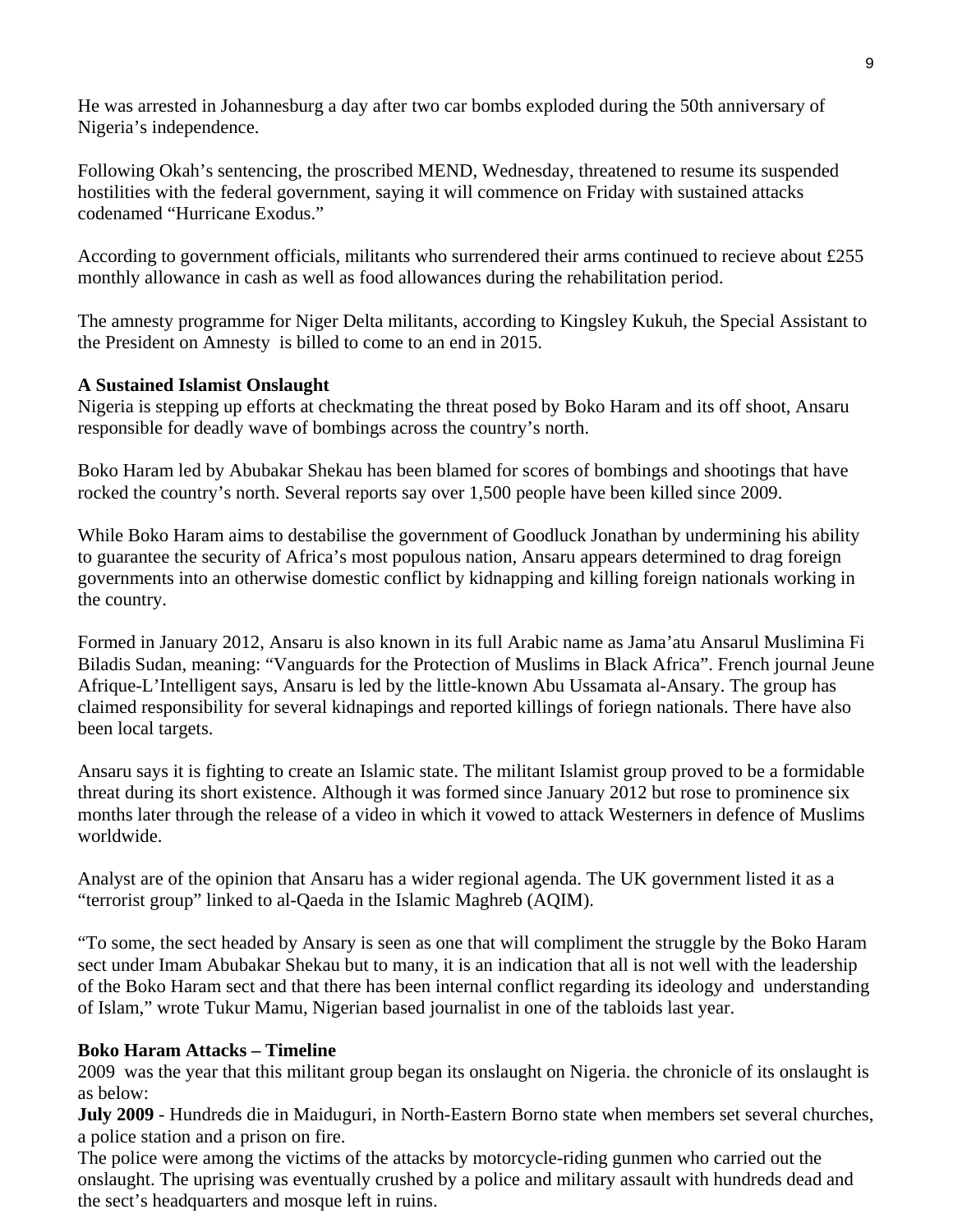He was arrested in Johannesburg a day after two car bombs exploded during the 50th anniversary of Nigeria's independence.

Following Okah's sentencing, the proscribed MEND, Wednesday, threatened to resume its suspended hostilities with the federal government, saying it will commence on Friday with sustained attacks codenamed "Hurricane Exodus."

According to government officials, militants who surrendered their arms continued to recieve about £255 monthly allowance in cash as well as food allowances during the rehabilitation period.

The amnesty programme for Niger Delta militants, according to Kingsley Kukuh, the Special Assistant to the President on Amnesty is billed to come to an end in 2015.

#### **A Sustained Islamist Onslaught**

Nigeria is stepping up efforts at checkmating the threat posed by Boko Haram and its off shoot, Ansaru responsible for deadly wave of bombings across the country's north.

Boko Haram led by Abubakar Shekau has been blamed for scores of bombings and shootings that have rocked the country's north. Several reports say over 1,500 people have been killed since 2009.

While Boko Haram aims to destabilise the government of Goodluck Jonathan by undermining his ability to guarantee the security of Africa's most populous nation, Ansaru appears determined to drag foreign governments into an otherwise domestic conflict by kidnapping and killing foreign nationals working in the country.

Formed in January 2012, Ansaru is also known in its full Arabic name as Jama'atu Ansarul Muslimina Fi Biladis Sudan, meaning: "Vanguards for the Protection of Muslims in Black Africa". French journal Jeune Afrique-L'Intelligent says, Ansaru is led by the little-known Abu Ussamata al-Ansary. The group has claimed responsibility for several kidnapings and reported killings of foriegn nationals. There have also been local targets.

Ansaru says it is fighting to create an Islamic state. The militant Islamist group proved to be a formidable threat during its short existence. Although it was formed since January 2012 but rose to prominence six months later through the release of a video in which it vowed to attack Westerners in defence of Muslims worldwide.

Analyst are of the opinion that Ansaru has a wider regional agenda. The UK government listed it as a "terrorist group" linked to al-Qaeda in the Islamic Maghreb (AQIM).

"To some, the sect headed by Ansary is seen as one that will compliment the struggle by the Boko Haram sect under Imam Abubakar Shekau but to many, it is an indication that all is not well with the leadership of the Boko Haram sect and that there has been internal conflict regarding its ideology and understanding of Islam," wrote Tukur Mamu, Nigerian based journalist in one of the tabloids last year.

#### **Boko Haram Attacks – Timeline**

2009 was the year that this militant group began its onslaught on Nigeria. the chronicle of its onslaught is as below:

**July 2009** - Hundreds die in Maiduguri, in North-Eastern Borno state when members set several churches, a police station and a prison on fire.

The police were among the victims of the attacks by motorcycle-riding gunmen who carried out the onslaught. The uprising was eventually crushed by a police and military assault with hundreds dead and the sect's headquarters and mosque left in ruins.